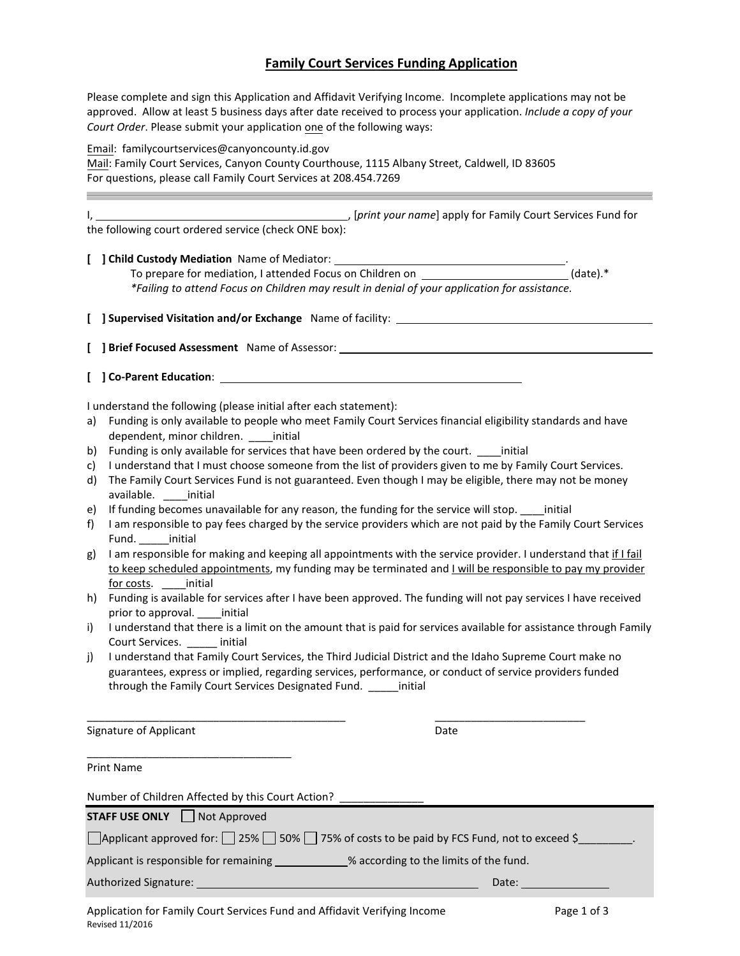# **Family Court Services Funding Application**

Please complete and sign this Application and Affidavit Verifying Income. Incomplete applications may not be approved. Allow at least 5 business days after date received to process your application. *Include a copy of your Court Order*. Please submit your application one of the following ways:

Email: [familycourtservices@canyo](mailto:mhoffman@canyonco.org)ncounty.id.gov

Mail: Family Court Services, Canyon County Courthouse, 1115 Albany Street, Caldwell, ID 83605 For questions, please call Family Court Services at 208.454.7269

**I**, [print your name] apply for Family Court Services Fund for the following court ordered service (check ONE box):

**[ ] Child Custody Mediation** Name of Mediator: .

To prepare for mediation, I attended Focus on Children on (date).<sup>\*</sup> (date).<sup>\*</sup> *\*Failing to attend Focus on Children may result in denial of your application for assistance.*

**[ ] Supervised Visitation and/or Exchange** Name of facility:

**[ ] Brief Focused Assessment** Name of Assessor:

**[ ] Co-Parent Education**:

I understand the following (please initial after each statement):

- a) Funding is only available to people who meet Family Court Services financial eligibility standards and have dependent, minor children. \_\_\_\_initial
- b) Funding is only available for services that have been ordered by the court. \_\_\_\_initial
- c) I understand that I must choose someone from the list of providers given to me by Family Court Services.
- d) The Family Court Services Fund is not guaranteed. Even though I may be eligible, there may not be money available. \_\_\_\_initial
- e) If funding becomes unavailable for any reason, the funding for the service will stop. \_\_\_\_initial
- f) I am responsible to pay fees charged by the service providers which are not paid by the Family Court Services Fund. initial
- g) I am responsible for making and keeping all appointments with the service provider. I understand that if I fail to keep scheduled appointments, my funding may be terminated and I will be responsible to pay my provider for costs. **Exercise** initial
- h) Funding is available for services after I have been approved. The funding will not pay services I have received prior to approval. \_\_\_\_initial
- i) I understand that there is a limit on the amount that is paid for services available for assistance through Family Court Services. \_\_\_\_\_ initial
- j) I understand that Family Court Services, the Third Judicial District and the Idaho Supreme Court make no guarantees, express or implied, regarding services, performance, or conduct of service providers funded through the Family Court Services Designated Fund. \_\_\_\_\_initial

\_\_\_\_\_\_\_\_\_\_\_\_\_\_\_\_\_\_\_\_\_\_\_\_\_\_\_\_\_\_\_\_\_\_\_\_\_\_\_\_\_\_\_ \_\_\_\_\_\_\_\_\_\_\_\_\_\_\_\_\_\_\_\_\_\_\_\_\_

Signature of Applicant Date Date Date

\_\_\_\_\_\_\_\_\_\_\_\_\_\_\_\_\_\_\_\_\_\_\_\_\_\_\_\_\_\_\_\_\_\_

Print Name

| Number of Children Affected by this Court Action?                                         |                                                                                                                                                                                                                                |  |  |
|-------------------------------------------------------------------------------------------|--------------------------------------------------------------------------------------------------------------------------------------------------------------------------------------------------------------------------------|--|--|
| STAFF USE ONLY □ Not Approved                                                             |                                                                                                                                                                                                                                |  |  |
|                                                                                           | Applicant approved for: $\Box$ 25% $\Box$ 50% $\Box$ 75% of costs to be paid by FCS Fund, not to exceed \$                                                                                                                     |  |  |
| Applicant is responsible for remaining ____________% according to the limits of the fund. |                                                                                                                                                                                                                                |  |  |
|                                                                                           | Date: the contract of the contract of the contract of the contract of the contract of the contract of the contract of the contract of the contract of the contract of the contract of the contract of the contract of the cont |  |  |
|                                                                                           |                                                                                                                                                                                                                                |  |  |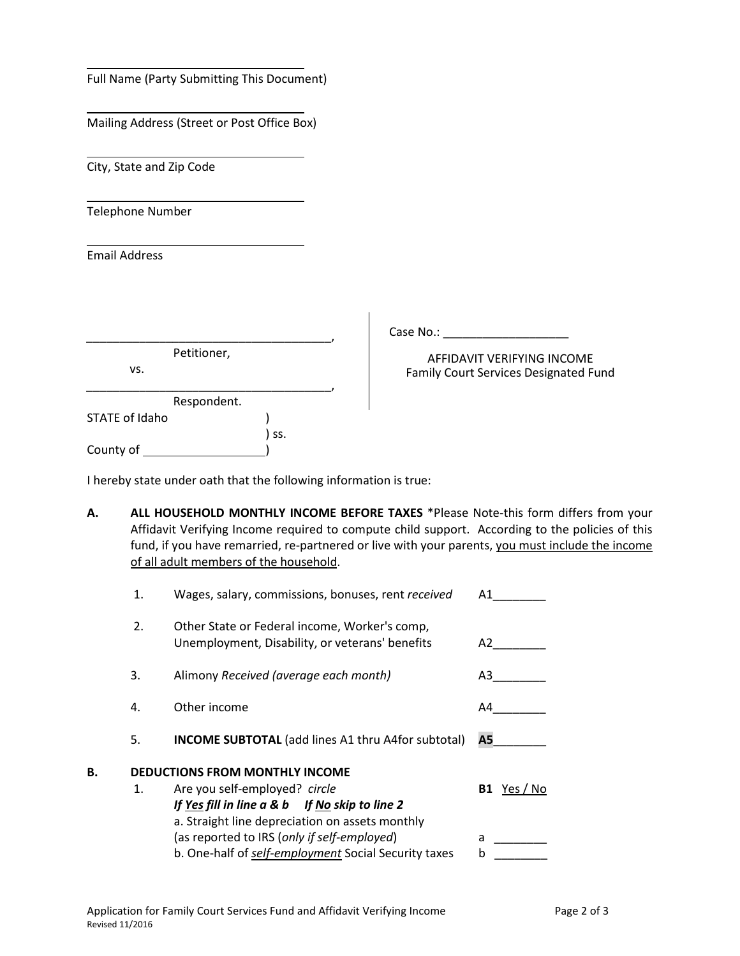| Full Name (Party Submitting This Document)               |                                                                     |
|----------------------------------------------------------|---------------------------------------------------------------------|
| Mailing Address (Street or Post Office Box)              |                                                                     |
| City, State and Zip Code                                 |                                                                     |
| Telephone Number                                         |                                                                     |
| <b>Email Address</b>                                     |                                                                     |
|                                                          | Case No.:                                                           |
| Petitioner,<br>VS.                                       | AFFIDAVIT VERIFYING INCOME<br>Family Court Services Designated Fund |
| Respondent.<br><b>STATE of Idaho</b><br>SS.<br>County of |                                                                     |

I hereby state under oath that the following information is true:

**A. ALL HOUSEHOLD MONTHLY INCOME BEFORE TAXES** \*Please Note-this form differs from your Affidavit Verifying Income required to compute child support. According to the policies of this fund, if you have remarried, re-partnered or live with your parents, you must include the income of all adult members of the household.

|    | 1.                                    | Wages, salary, commissions, bonuses, rent received                                               | Α1             |
|----|---------------------------------------|--------------------------------------------------------------------------------------------------|----------------|
|    | 2.                                    | Other State or Federal income, Worker's comp,<br>Unemployment, Disability, or veterans' benefits | A2             |
|    | 3.                                    | Alimony Received (average each month)                                                            | A3             |
|    | 4.                                    | Other income                                                                                     | A4             |
|    | 5.                                    | <b>INCOME SUBTOTAL</b> (add lines A1 thru A4for subtotal)                                        | A5             |
| В. | <b>DEDUCTIONS FROM MONTHLY INCOME</b> |                                                                                                  |                |
|    | 1.                                    | Are you self-employed? circle                                                                    | Yes / No<br>B1 |
|    |                                       | If Yes fill in line a & b If No skip to line 2                                                   |                |
|    |                                       | a. Straight line depreciation on assets monthly                                                  |                |
|    |                                       | (as reported to IRS (only if self-employed)                                                      | a              |
|    |                                       | b. One-half of self-employment Social Security taxes                                             | b              |